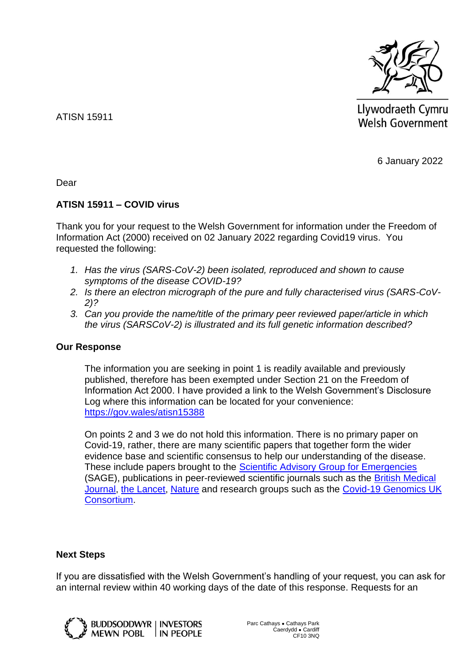

Llywodraeth Cymru **Welsh Government** 

6 January 2022

Dear

ATISN 15911

## **ATISN 15911 – COVID virus**

Thank you for your request to the Welsh Government for information under the Freedom of Information Act (2000) received on 02 January 2022 regarding Covid19 virus. You requested the following:

- *1. Has the virus (SARS-CoV-2) been isolated, reproduced and shown to cause symptoms of the disease COVID-19?*
- *2. Is there an electron micrograph of the pure and fully characterised virus (SARS-CoV-2)?*
- *3. Can you provide the name/title of the primary peer reviewed paper/article in which the virus (SARSCoV-2) is illustrated and its full genetic information described?*

## **Our Response**

The information you are seeking in point 1 is readily available and previously published, therefore has been exempted under Section 21 on the Freedom of Information Act 2000. I have provided a link to the Welsh Government's Disclosure Log where this information can be located for your convenience: <https://gov.wales/atisn15388>

On points 2 and 3 we do not hold this information. There is no primary paper on Covid-19, rather, there are many scientific papers that together form the wider evidence base and scientific consensus to help our understanding of the disease. These include papers brought to the [Scientific Advisory Group for Emergencies](https://www.gov.uk/search/all?organisations%5B%5D=scientific-advisory-group-for-emergencies&order=updated-newest&parent=scientific-advisory-group-for-emergencies) (SAGE), publications in peer-reviewed scientific journals such as the [British Medical](https://www.bmj.com/coronavirus)  [Journal,](https://www.bmj.com/coronavirus) [the Lancet,](https://www.thelancet.com/coronavirus) [Nature](https://www.nature.com/subjects/sars-cov-2) and research groups such as the [Covid-19 Genomics UK](https://www.cogconsortium.uk/)  [Consortium.](https://www.cogconsortium.uk/)

## **Next Steps**

If you are dissatisfied with the Welsh Government's handling of your request, you can ask for an internal review within 40 working days of the date of this response. Requests for an



**BUDDSODDWYR | INVESTORS** MEWN POBL IN PEOPLE Parc Cathays ● Cathays Park Caerdydd ● Cardiff CF10 3NQ